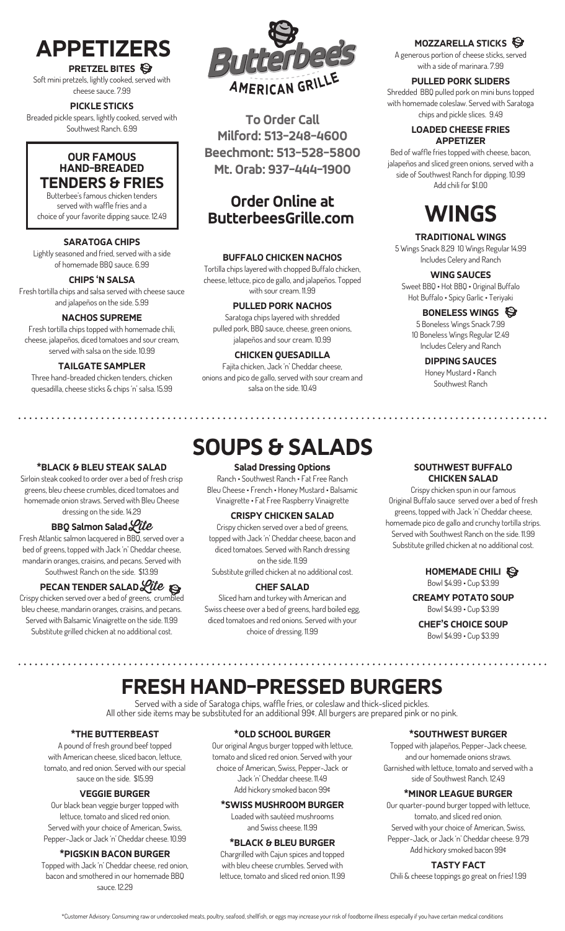### **APPETIZERS**

**PRETZEL BITES** Soft mini pretzels, lightly cooked, served with cheese sauce. 7.99

**PICKLE STICKS** Breaded pickle spears, lightly cooked, served with Southwest Ranch. 6.99

#### **OUR FAMOUS HAND-BREADED TENDERS & FRIES**

Butterbee's famous chicken tenders served with waffle fries and a choice of your favorite dipping sauce. 12.49

#### **SARATOGA CHIPS**

Lightly seasoned and fried, served with a side of homemade BBQ sauce. 6.99

#### **CHIPS 'N SALSA**

Fresh tortilla chips and salsa served with cheese sauce and jalapeños on the side. 5.99

#### **NACHOS SUPREME**

Fresh tortilla chips topped with homemade chili, cheese, jalapeños, diced tomatoes and sour cream, served with salsa on the side. 10.99

#### **TAILGATE SAMPLER**

Three hand-breaded chicken tenders, chicken quesadilla, cheese sticks & chips 'n' salsa. 15.99

#### **\*BLACK & BLEU STEAK SALAD**

Sirloin steak cooked to order over a bed of fresh crisp greens, bleu cheese crumbles, diced tomatoes and homemade onion straws. Served with Bleu Cheese dressing on the side. 14.29

#### **BBQ Salmon Salad Lite**

Fresh Atlantic salmon lacquered in BBQ, served over a bed of greens, topped with Jack 'n' Cheddar cheese, mandarin oranges, craisins, and pecans. Served with Southwest Ranch on the side. \$13.99

#### **PECAN TENDER SALAD** Lite

Crispy chicken served over a bed of greens, crumbled bleu cheese, mandarin oranges, craisins, and pecans. Served with Balsamic Vinaigrette on the side. 11.99 Substitute grilled chicken at no additional cost.



**To Order Call Milford: 513-248-4600 Beechmont: 513-528-5800 Mt. Orab: 937-444-1900**

### **Order Online at ButterbeesGrille.com**

#### **BUFFALO CHICKEN NACHOS**

Tortilla chips layered with chopped Buffalo chicken, cheese, lettuce, pico de gallo, and jalapeños. Topped with sour cream. 11.99

#### **PULLED PORK NACHOS**

Saratoga chips layered with shredded pulled pork, BBQ sauce, cheese, green onions, jalapeños and sour cream. 10.99

#### **CHICKEN QUESADILLA**

Fajita chicken, Jack 'n' Cheddar cheese, onions and pico de gallo, served with sour cream and salsa on the side. 10.49

### **SOUPS & SALADS**

#### **Salad Dressing Options**

Ranch • Southwest Ranch • Fat Free Ranch Bleu Cheese • French • Honey Mustard • Balsamic Vinaigrette • Fat Free Raspberry Vinaigrette

#### **CRISPY CHICKEN SALAD**

Crispy chicken served over a bed of greens, topped with Jack 'n' Cheddar cheese, bacon and diced tomatoes. Served with Ranch dressing on the side. 11.99 Substitute grilled chicken at no additional cost.

#### **CHEF SALAD**

Sliced ham and turkey with American and Swiss cheese over a bed of greens, hard boiled egg, diced tomatoes and red onions. Served with your choice of dressing. 11.99

#### **MOZZARELLA STICKS**

A generous portion of cheese sticks, served with a side of marinara. 7.99

**PULLED PORK SLIDERS** Shredded BBQ pulled pork on mini buns topped with homemade coleslaw. Served with Saratoga chips and pickle slices. 9.49

#### **LOADED CHEESE FRIES APPETIZER**

Bed of waffle fries topped with cheese, bacon, jalapeños and sliced green onions, served with a side of Southwest Ranch for dipping. 10.99 Add chili for \$1.00

### **WINGS**

#### **TRADITIONAL WINGS**

5 Wings Snack 8.29 10 Wings Regular 14.99 Includes Celery and Ranch

#### **WING SAUCES**

Sweet BBQ • Hot BBQ • Original Buffalo Hot Buffalo • Spicy Garlic • Teriyaki

#### **BONELESS WINGS**

5 Boneless Wings Snack 7.99 10 Boneless Wings Regular 12.49 Includes Celery and Ranch

> **DIPPING SAUCES** Honey Mustard • Ranch Southwest Ranch

#### **SOUTHWEST BUFFALO CHICKEN SALAD**

Crispy chicken spun in our famous Original Buffalo sauce served over a bed of fresh greens, topped with Jack 'n' Cheddar cheese, homemade pico de gallo and crunchy tortilla strips. Served with Southwest Ranch on the side. 11.99 Substitute grilled chicken at no additional cost.

#### **HOMEMADE CHILI** Bowl \$4.99 • Cup \$3.99

**CREAMY POTATO SOUP** Bowl \$4.99 • Cup \$3.99

**CHEF'S CHOICE SOUP** Bowl \$4.99 • Cup \$3.99

. . . . . . . . . . . . . . . . . . .

### **FRESH HAND-PRESSED BURGERS**

Served with a side of Saratoga chips, waffle fries, or coleslaw and thick-sliced pickles. All other side items may be substituted for an additional 99¢. All burgers are prepared pink or no pink.

#### **\*THE BUTTERBEAST**

A pound of fresh ground beef topped with American cheese, sliced bacon, lettuce, tomato, and red onion. Served with our special sauce on the side. \$15.99

#### **VEGGIE BURGER**

Our black bean veggie burger topped with lettuce, tomato and sliced red onion. Served with your choice of American, Swiss, Pepper-Jack or Jack 'n' Cheddar cheese. 10.99

#### **\*PIGSKIN BACON BURGER**

Topped with Jack 'n' Cheddar cheese, red onion, bacon and smothered in our homemade BBQ sauce. 12.29

#### **\*OLD SCHOOL BURGER**

Our original Angus burger topped with lettuce, tomato and sliced red onion. Served with your choice of American, Swiss, Pepper-Jack or Jack 'n' Cheddar cheese. 11.49

Add hickory smoked bacon 99¢

#### **\*SWISS MUSHROOM BURGER**

Loaded with sautéed mushrooms and Swiss cheese. 11.99

#### **\*BLACK & BLEU BURGER**

Chargrilled with Cajun spices and topped with bleu cheese crumbles. Served with lettuce, tomato and sliced red onion. 11.99

#### **\*SOUTHWEST BURGER**

Topped with jalapeños, Pepper-Jack cheese, and our homemade onions straws. Garnished with lettuce, tomato and served with a side of Southwest Ranch. 12.49

#### **\*MINOR LEAGUE BURGER**

Our quarter-pound burger topped with lettuce, tomato, and sliced red onion. Served with your choice of American, Swiss, Pepper-Jack, or Jack 'n' Cheddar cheese. 9.79 Add hickory smoked bacon 99¢

#### **TASTY FACT**

Chili & cheese toppings go great on fries! 1.99

\*Customer Advisory: Consuming raw or undercooked meats, poultry, seafood, shellfish, or eggs may increase your risk of foodborne illness especially if you have certain medical conditions